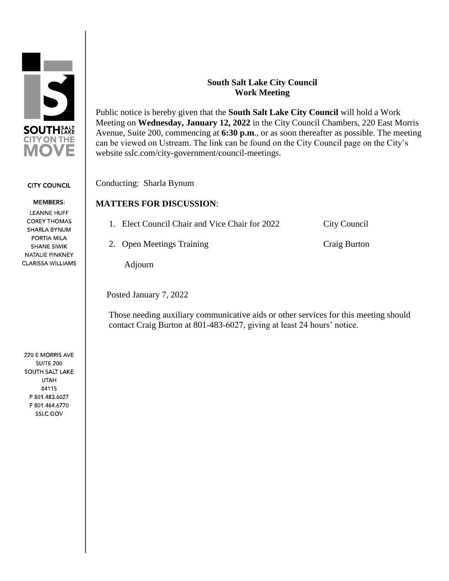

#### **CITY COUNCIL**

**MEMBERS: LEANNE HUFF COREY THOMAS** SHARLA BYNUM PORTIA MILA **SHANE SIWIK** NATALIE PINKNEY CLARISSA WILLIAMS

220 E MORRIS AVE **SUITE 200** SOUTH SALT LAKE **UTAH** 84115 P 801.483.6027 F 801.464.6770 SSLC.GOV

#### **South Salt Lake City Council Work Meeting**

Public notice is hereby given that the **South Salt Lake City Council** will hold a Work Meeting on **Wednesday, January 12, 2022** in the City Council Chambers, 220 East Morris Avenue, Suite 200, commencing at **6:30 p.m**., or as soon thereafter as possible. The meeting can be viewed on Ustream. The link can be found on the City Council page on the City's website sslc.com/city-government/council-meetings.

Conducting: Sharla Bynum

### **MATTERS FOR DISCUSSION**:

| 1. Elect Council Chair and Vice Chair for 2022 | City Council |
|------------------------------------------------|--------------|
| 2. Open Meetings Training                      | Craig Burton |

Adjourn

Posted January 7, 2022

 Those needing auxiliary communicative aids or other services for this meeting should contact Craig Burton at 801-483-6027, giving at least 24 hours' notice.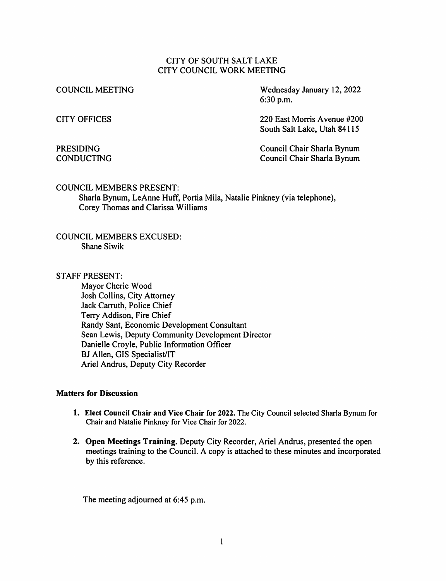#### CITY OF SOUTH SALT LAKE CITY COUNCIL WORK MEETING

**COUNCIL MEETING** 

Wednesday January 12, 2022  $6:30$  p.m.

**CITY OFFICES** 

#### **PRESIDING CONDUCTING**

220 East Morris Avenue #200 South Salt Lake, Utah 84115

Council Chair Sharla Bynum Council Chair Sharla Bynum

#### **COUNCIL MEMBERS PRESENT:**

Sharla Bynum, LeAnne Huff, Portia Mila, Natalie Pinkney (via telephone), Corey Thomas and Clarissa Williams

**COUNCIL MEMBERS EXCUSED: Shane Siwik** 

**STAFF PRESENT:** 

Mavor Cherie Wood Josh Collins, City Attorney Jack Carruth, Police Chief Terry Addison, Fire Chief Randy Sant, Economic Development Consultant Sean Lewis, Deputy Community Development Director Danielle Croyle, Public Information Officer BJ Allen, GIS Specialist/IT Ariel Andrus, Deputy City Recorder

#### **Matters for Discussion**

- 1. Elect Council Chair and Vice Chair for 2022. The City Council selected Sharla Bynum for Chair and Natalie Pinkney for Vice Chair for 2022.
- 2. Open Meetings Training. Deputy City Recorder, Ariel Andrus, presented the open meetings training to the Council. A copy is attached to these minutes and incorporated by this reference.

The meeting adjourned at 6:45 p.m.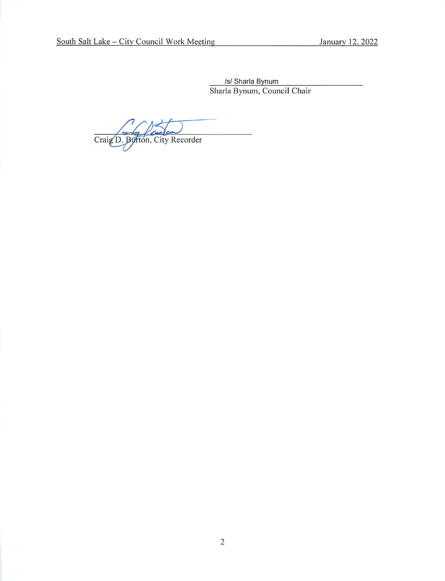/s/ Sharla Bynum Sharla Bynum, Council Chair

Craig D. Burton, City Recorder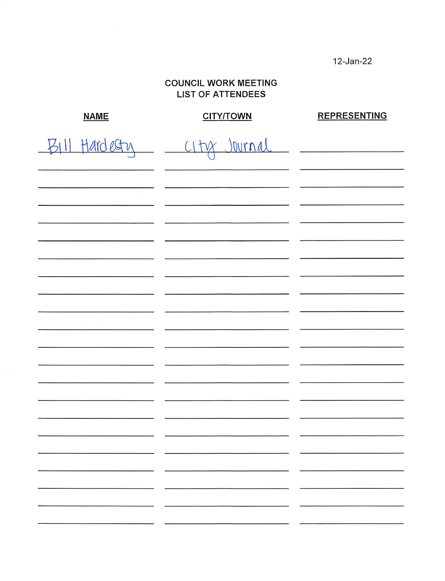12-Jan-22

### **COUNCIL WORK MEETING LIST OF ATTENDEES**

| <b>NAME</b>     | <b>CITY/TOWN</b> | <b>REPRESENTING</b> |
|-----------------|------------------|---------------------|
| $BIII$ Hardesty | CIty Journal     |                     |
|                 |                  |                     |
|                 |                  |                     |
|                 |                  |                     |
|                 |                  |                     |
|                 |                  |                     |
|                 |                  |                     |
|                 |                  |                     |
|                 |                  |                     |
|                 |                  |                     |
|                 |                  |                     |
|                 |                  |                     |
|                 |                  |                     |
|                 |                  |                     |
|                 |                  |                     |
|                 |                  |                     |
|                 |                  |                     |
|                 |                  |                     |
|                 |                  |                     |
|                 |                  |                     |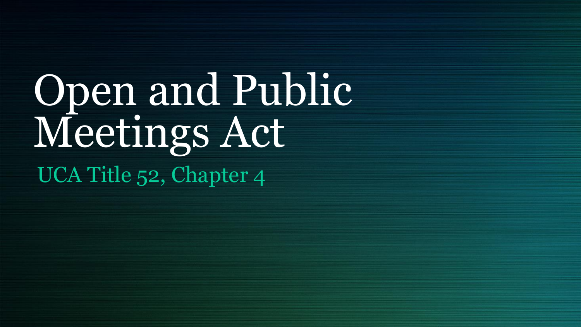# Open and Public Meetings Act UCA Title 52, Chapter 4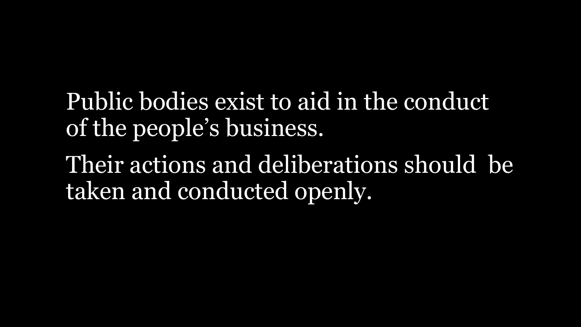Public bodies exist to aid in the conduct of the people's business.

Their actions and deliberations should be taken and conducted openly.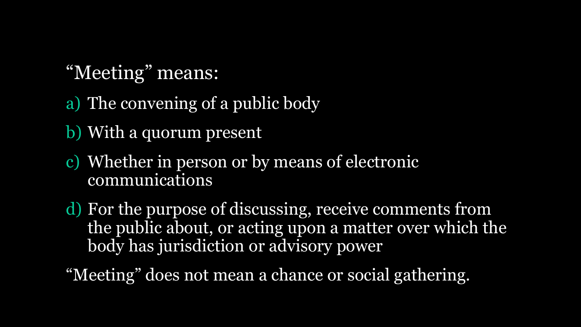### "Meeting" means:

- a) The convening of a public body
- b) With a quorum present
- c) Whether in person or by means of electronic communications
- d) For the purpose of discussing, receive comments from the public about, or acting upon a matter over which the body has jurisdiction or advisory power

"Meeting" does not mean a chance or social gathering.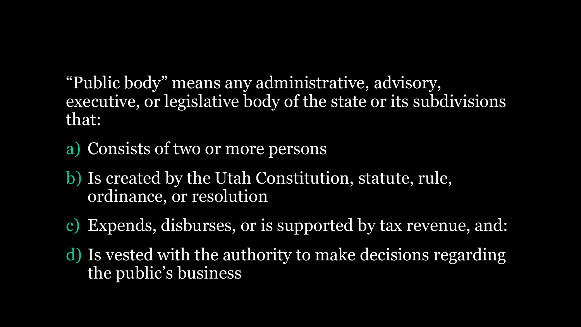"Public body" means any administrative, advisory, executive, or legislative body of the state or its subdivisions that:

- a) Consists of two or more persons
- b) Is created by the Utah Constitution, statute, rule, ordinance, or resolution
- Expends, disburses, or is supported by tax revenue, and:
- d) Is vested with the authority to make decisions regarding the public's business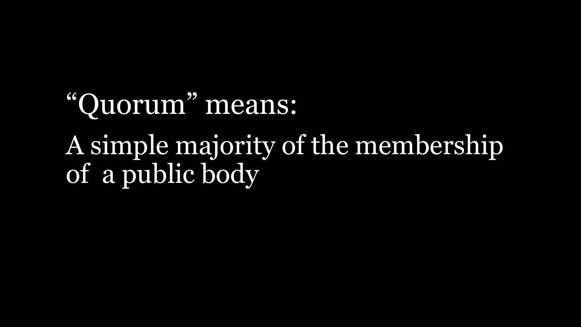# "Quorum" means: A simple majority of the membership of a public body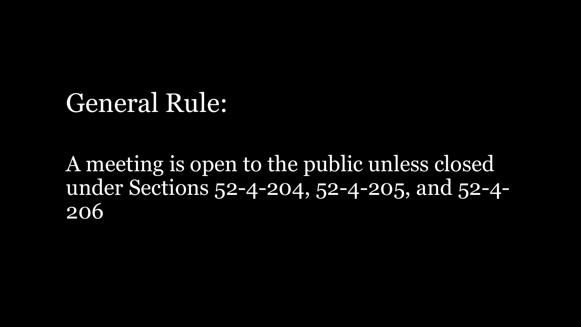## General Rule:

A meeting is open to the public unless closed under Sections 52-4-204, 52-4-205, and 52-4- 206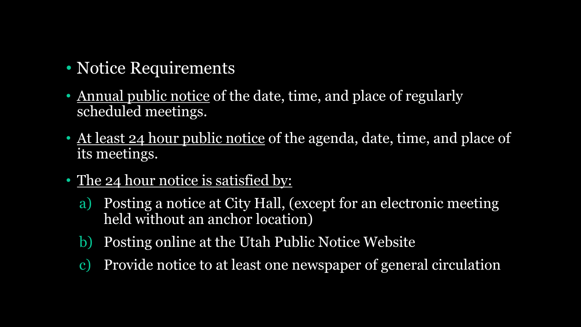- Notice Requirements
- Annual public notice of the date, time, and place of regularly scheduled meetings.
- At least 24 hour public notice of the agenda, date, time, and place of its meetings.
- The 24 hour notice is satisfied by:
	- a) Posting a notice at City Hall, (except for an electronic meeting held without an anchor location)
	- b) Posting online at the Utah Public Notice Website
	- c) Provide notice to at least one newspaper of general circulation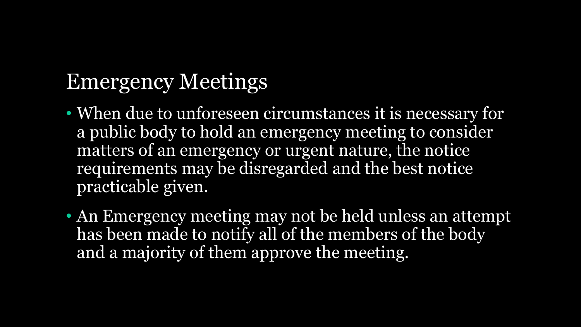### Emergency Meetings

- When due to unforeseen circumstances it is necessary for a public body to hold an emergency meeting to consider matters of an emergency or urgent nature, the notice requirements may be disregarded and the best notice practicable given.
- An Emergency meeting may not be held unless an attempt has been made to notify all of the members of the body and a majority of them approve the meeting.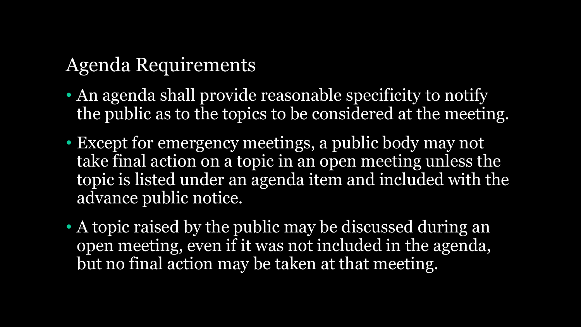### Agenda Requirements

- An agenda shall provide reasonable specificity to notify the public as to the topics to be considered at the meeting.
- Except for emergency meetings, a public body may not take final action on a topic in an open meeting unless the topic is listed under an agenda item and included with the advance public notice.
- A topic raised by the public may be discussed during an open meeting, even if it was not included in the agenda, but no final action may be taken at that meeting.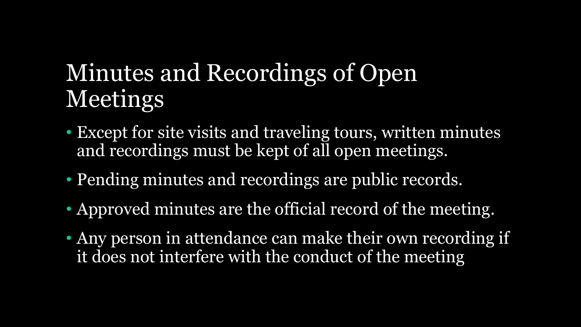# Minutes and Recordings of Open Meetings

- Except for site visits and traveling tours, written minutes and recordings must be kept of all open meetings.
- Pending minutes and recordings are public records.
- Approved minutes are the official record of the meeting.
- Any person in attendance can make their own recording if it does not interfere with the conduct of the meeting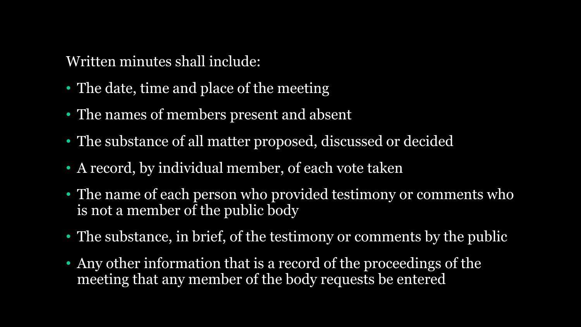Written minutes shall include:

- The date, time and place of the meeting
- The names of members present and absent
- The substance of all matter proposed, discussed or decided
- A record, by individual member, of each vote taken
- The name of each person who provided testimony or comments who is not a member of the public body
- The substance, in brief, of the testimony or comments by the public
- Any other information that is a record of the proceedings of the meeting that any member of the body requests be entered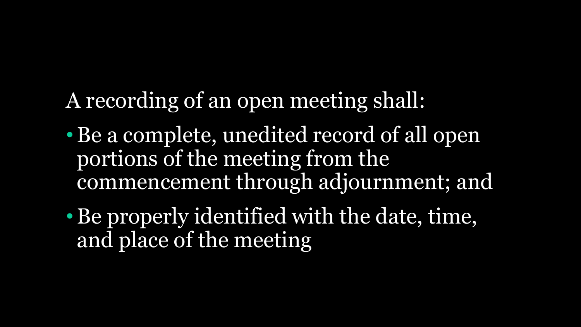A recording of an open meeting shall:

- Be a complete, unedited record of all open portions of the meeting from the commencement through adjournment; and
- •Be properly identified with the date, time, and place of the meeting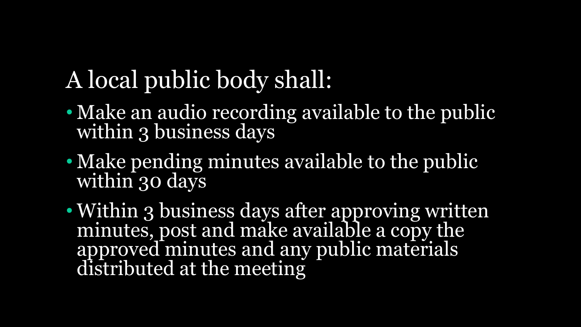# A local public body shall:

- Make an audio recording available to the public within 3 business days
- Make pending minutes available to the public within 30 days
- Within 3 business days after approving written minutes, post and make available a copy the approved minutes and any public materials distributed at the meeting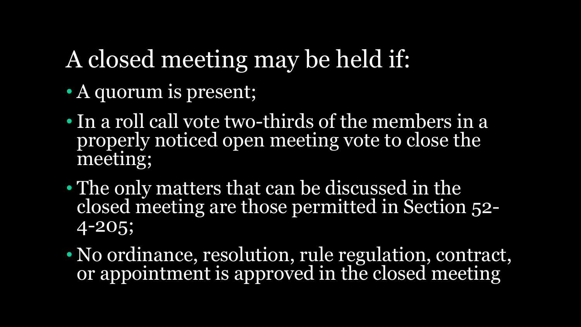# A closed meeting may be held if:

- A quorum is present;
- In a roll call vote two-thirds of the members in a properly noticed open meeting vote to close the meeting;
- The only matters that can be discussed in the closed meeting are those permitted in Section 52- 4-205;
- No ordinance, resolution, rule regulation, contract, or appointment is approved in the closed meeting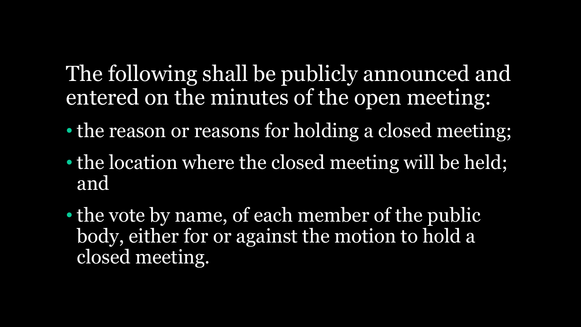### The following shall be publicly announced and entered on the minutes of the open meeting:

- the reason or reasons for holding a closed meeting;
- the location where the closed meeting will be held; and
- the vote by name, of each member of the public body, either for or against the motion to hold a closed meeting.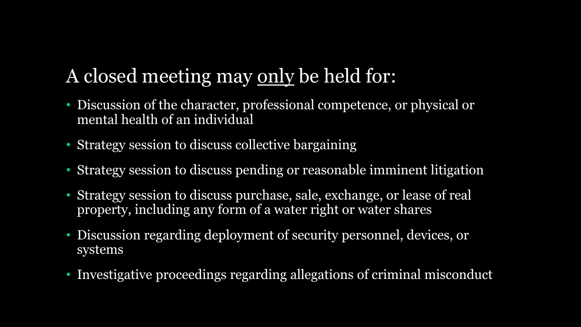### A closed meeting may only be held for:

- Discussion of the character, professional competence, or physical or mental health of an individual
- Strategy session to discuss collective bargaining
- Strategy session to discuss pending or reasonable imminent litigation
- Strategy session to discuss purchase, sale, exchange, or lease of real property, including any form of a water right or water shares
- Discussion regarding deployment of security personnel, devices, or systems
- Investigative proceedings regarding allegations of criminal misconduct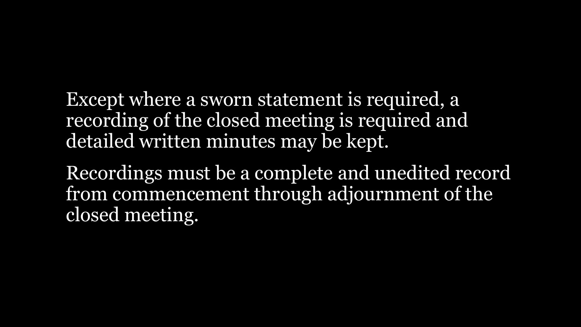Except where a sworn statement is required, a recording of the closed meeting is required and detailed written minutes may be kept.

Recordings must be a complete and unedited record from commencement through adjournment of the closed meeting.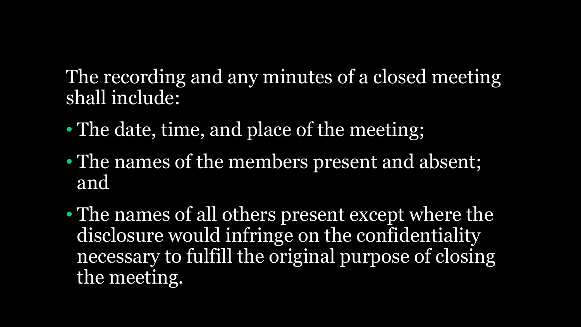The recording and any minutes of a closed meeting shall include:

- The date, time, and place of the meeting;
- The names of the members present and absent; and
- The names of all others present except where the disclosure would infringe on the confidentiality necessary to fulfill the original purpose of closing the meeting.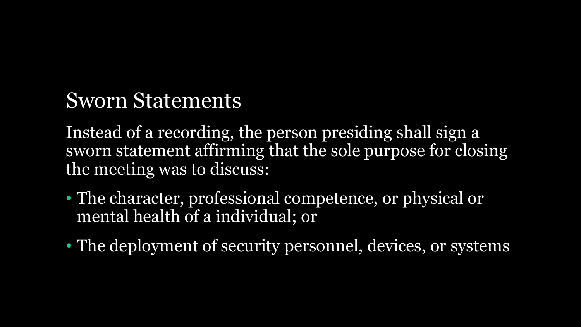### Sworn Statements

Instead of a recording, the person presiding shall sign a sworn statement affirming that the sole purpose for closing the meeting was to discuss:

- The character, professional competence, or physical or mental health of a individual; or
- The deployment of security personnel, devices, or systems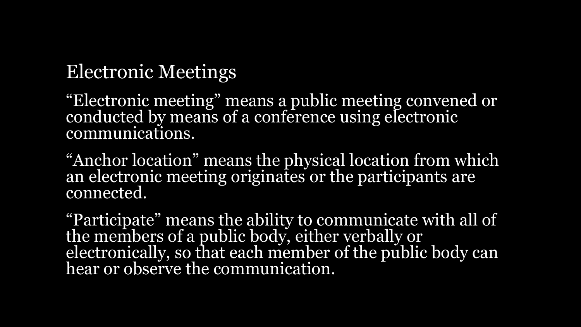### Electronic Meetings

"Electronic meeting" means a public meeting convened or conducted by means of a conference using electronic communications.

"Anchor location" means the physical location from which an electronic meeting originates or the participants are connected.

"Participate" means the ability to communicate with all of the members of a public body, either verbally or electronically, so that each member of the public body can hear or observe the communication.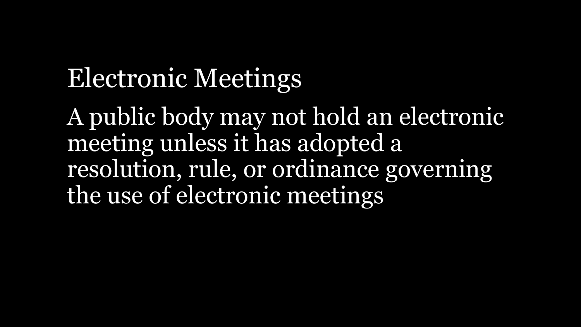# Electronic Meetings

A public body may not hold an electronic meeting unless it has adopted a resolution, rule, or ordinance governing the use of electronic meetings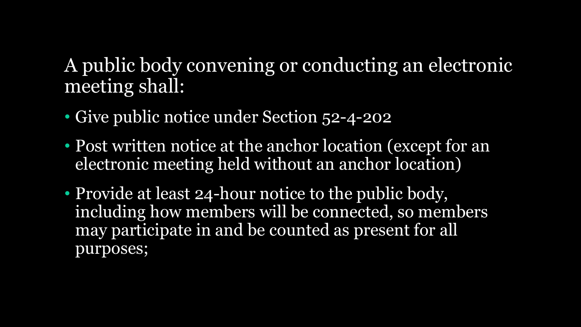A public body convening or conducting an electronic meeting shall:

- Give public notice under Section 52-4-202
- Post written notice at the anchor location (except for an electronic meeting held without an anchor location)
- Provide at least 24-hour notice to the public body, including how members will be connected, so members may participate in and be counted as present for all purposes;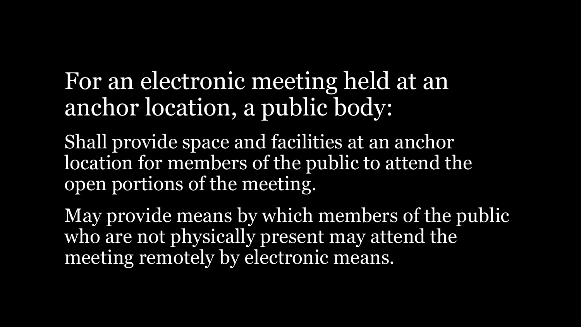## For an electronic meeting held at an anchor location, a public body:

Shall provide space and facilities at an anchor location for members of the public to attend the open portions of the meeting.

May provide means by which members of the public who are not physically present may attend the meeting remotely by electronic means.